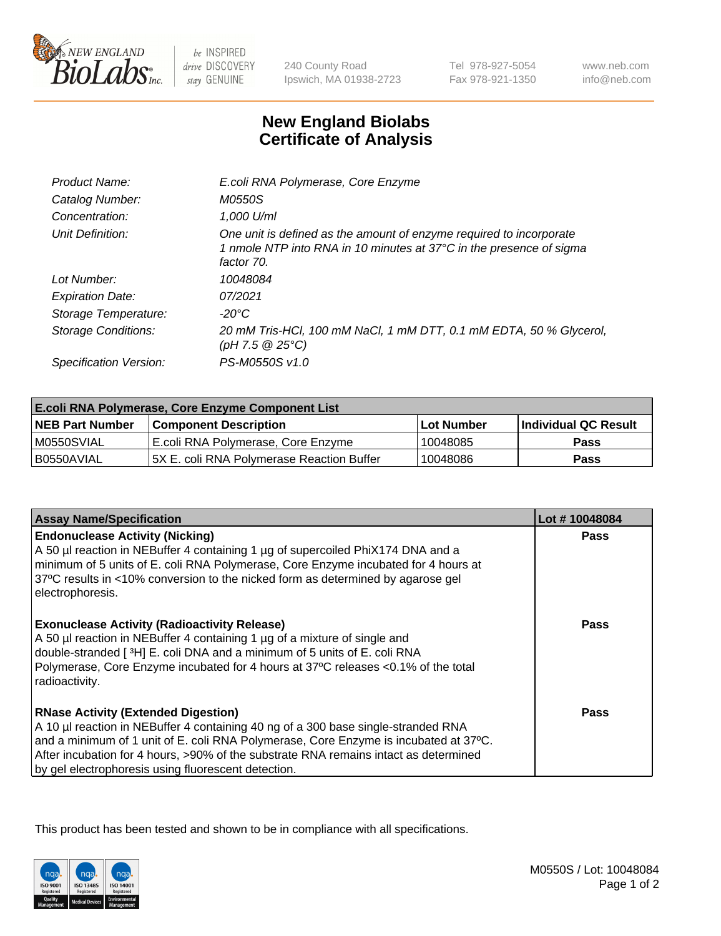

 $be$  INSPIRED drive DISCOVERY stay GENUINE

240 County Road Ipswich, MA 01938-2723 Tel 978-927-5054 Fax 978-921-1350 www.neb.com info@neb.com

## **New England Biolabs Certificate of Analysis**

| Product Name:              | E.coli RNA Polymerase, Core Enzyme                                                                                                                       |
|----------------------------|----------------------------------------------------------------------------------------------------------------------------------------------------------|
| Catalog Number:            | <i>M0550S</i>                                                                                                                                            |
| Concentration:             | 1,000 U/ml                                                                                                                                               |
| Unit Definition:           | One unit is defined as the amount of enzyme required to incorporate<br>1 nmole NTP into RNA in 10 minutes at 37°C in the presence of sigma<br>factor 70. |
| Lot Number:                | 10048084                                                                                                                                                 |
| <b>Expiration Date:</b>    | 07/2021                                                                                                                                                  |
| Storage Temperature:       | -20°C                                                                                                                                                    |
| <b>Storage Conditions:</b> | 20 mM Tris-HCl, 100 mM NaCl, 1 mM DTT, 0.1 mM EDTA, 50 % Glycerol,<br>(pH 7.5 $@25°C$ )                                                                  |
| Specification Version:     | PS-M0550S v1.0                                                                                                                                           |

| <b>E.coli RNA Polymerase, Core Enzyme Component List</b> |                                            |            |                      |  |
|----------------------------------------------------------|--------------------------------------------|------------|----------------------|--|
| <b>NEB Part Number</b>                                   | <b>Component Description</b>               | Lot Number | Individual QC Result |  |
| M0550SVIAL                                               | E.coli RNA Polymerase, Core Enzyme         | 10048085   | Pass                 |  |
| I B0550AVIAL                                             | I5X E. coli RNA Polvmerase Reaction Buffer | 10048086   | <b>Pass</b>          |  |

| <b>Assay Name/Specification</b>                                                                                                                                                                                                                                                                                                                                        | Lot #10048084 |
|------------------------------------------------------------------------------------------------------------------------------------------------------------------------------------------------------------------------------------------------------------------------------------------------------------------------------------------------------------------------|---------------|
| <b>Endonuclease Activity (Nicking)</b><br>A 50 µl reaction in NEBuffer 4 containing 1 µg of supercoiled PhiX174 DNA and a<br>minimum of 5 units of E. coli RNA Polymerase, Core Enzyme incubated for 4 hours at<br>37°C results in <10% conversion to the nicked form as determined by agarose gel<br>electrophoresis.                                                 | <b>Pass</b>   |
| <b>Exonuclease Activity (Radioactivity Release)</b><br>A 50 µl reaction in NEBuffer 4 containing 1 µg of a mixture of single and<br>double-stranded [3H] E. coli DNA and a minimum of 5 units of E. coli RNA<br>Polymerase, Core Enzyme incubated for 4 hours at 37°C releases <0.1% of the total<br>radioactivity.                                                    | Pass          |
| <b>RNase Activity (Extended Digestion)</b><br>A 10 µl reaction in NEBuffer 4 containing 40 ng of a 300 base single-stranded RNA<br>and a minimum of 1 unit of E. coli RNA Polymerase, Core Enzyme is incubated at 37°C.<br>After incubation for 4 hours, >90% of the substrate RNA remains intact as determined<br>by gel electrophoresis using fluorescent detection. | Pass          |

This product has been tested and shown to be in compliance with all specifications.